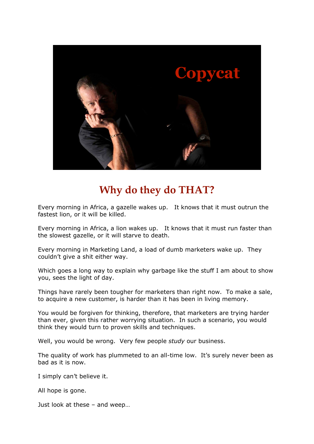

# **Why do they do THAT?**

Every morning in Africa, a gazelle wakes up. It knows that it must outrun the fastest lion, or it will be killed.

Every morning in Africa, a lion wakes up. It knows that it must run faster than the slowest gazelle, or it will starve to death.

Every morning in Marketing Land, a load of dumb marketers wake up. They couldn't give a shit either way.

Which goes a long way to explain why garbage like the stuff I am about to show you, sees the light of day.

Things have rarely been tougher for marketers than right now. To make a sale, to acquire a new customer, is harder than it has been in living memory.

You would be forgiven for thinking, therefore, that marketers are trying harder than ever, given this rather worrying situation. In such a scenario, you would think they would turn to proven skills and techniques.

Well, you would be wrong. Very few people *study* our business.

The quality of work has plummeted to an all-time low. It's surely never been as bad as it is now.

I simply can't believe it.

All hope is gone.

Just look at these – and weep…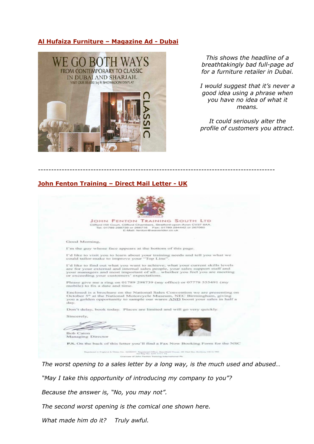## **Al Hufaiza Furniture – Magazine Ad - Dubai**



*This shows the headline of a breathtakingly bad full-page ad for a furniture retailer in Dubai.*

*I would suggest that it's never a good idea using a phrase when you have no idea of what it means.*

*It could seriously alter the profile of customers you attract.*

### **John Fenton Training – Direct Mail Letter - UK**



------------------------------------------------------------------------------------------

*The worst opening to a sales letter by a long way, is the much used and abused…*

*"May I take this opportunity of introducing my company to you"?*

*Because the answer is, "No, you may not".*

*The second worst opening is the comical one shown here.*

*What made him do it? Truly awful.*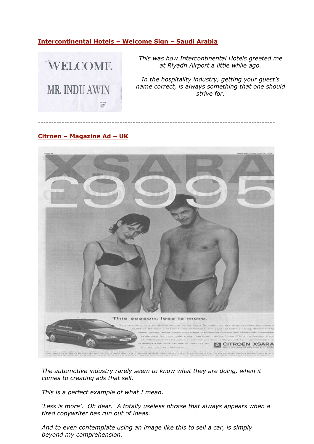# **Intercontinental Hotels – Welcome Sign – Saudi Arabia**



*This was how Intercontinental Hotels greeted me at Riyadh Airport a little while ago.*

*In the hospitality industry, getting your guest's name correct, is always something that one should strive for.*

## **Citroen – Magazine Ad – UK**



------------------------------------------------------------------------------------------

*The automotive industry rarely seem to know what they are doing, when it comes to creating ads that sell.*

*This is a perfect example of what I mean.*

*'Less is more'. Oh dear. A totally useless phrase that always appears when a tired copywriter has run out of ideas.*

*And to even contemplate using an image like this to sell a car, is simply beyond my comprehension.*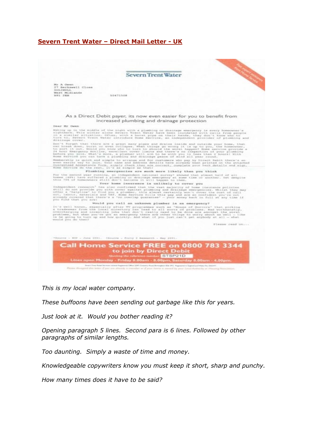## **Severn Trent Water – Direct Mail Letter - UK**



*This is my local water company.*

*These buffoons have been sending out garbage like this for years.*

*Just look at it. Would you bother reading it?*

*Opening paragraph 5 lines. Second para is 6 lines. Followed by other paragraphs of similar lengths.*

*Too daunting. Simply a waste of time and money.*

*Knowledgeable copywriters know you must keep it short, sharp and punchy.* 

*How many times does it have to be said?*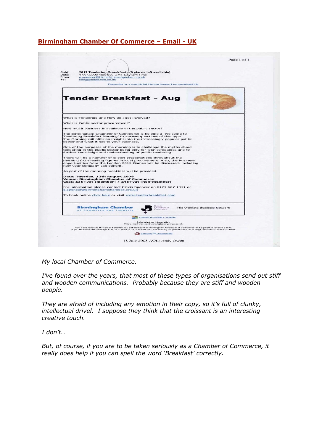# **Birmingham Chamber Of Commerce – Email - UK**

| Subj:<br>2012 Tendering Brerakfast - (9 places left available)<br>Date:<br>17/07/2008 10:04:38 GMT Daylight Time<br>From:<br>e.spencer@birminghamchamber.org.uk<br>To:<br>info@andyowen.co.uk                                                       |                               |
|-----------------------------------------------------------------------------------------------------------------------------------------------------------------------------------------------------------------------------------------------------|-------------------------------|
| Please click on or copy this link into your browser if you cannot read this.                                                                                                                                                                        |                               |
| Tender Breakfast - Aug                                                                                                                                                                                                                              |                               |
| What is Tendering and How do I get involved?                                                                                                                                                                                                        |                               |
| What is Public sector procurement?                                                                                                                                                                                                                  |                               |
| How much business is available in the public sector?                                                                                                                                                                                                |                               |
| The Birmingham Chamber of Commerce is holding a 'Welcome to<br>Tendering Breakfast Morning' to answer questions of this type.<br>The Morning will offer an insight into the increasingly popular public<br>sector and what it has to your business. |                               |
| One of the purposes of the morning is to challenge the myths about<br>tendering in the public sector being only for 'big' companies and to<br>further knowledge and understanding of public tendering.                                              |                               |
| There will be a number of expert presentations throughout the<br>morning from leading figures in local procurement. Also, the business<br>opportunities from the London 2012 Games will be discussed, including<br>how your company can benefit.    |                               |
| As part of the morning breakfast will be provided.                                                                                                                                                                                                  |                               |
| Date: Tuesday, 12th August 2008<br>Venue: Birmingham Chamber of Commerce<br>Cost: £35+vat (member) / £45+vat (non-member)                                                                                                                           |                               |
| For information please contact Elexis Spencer on 0121 607 1911 or<br>e.spencer@birminghamchamber.org.uk                                                                                                                                             |                               |
| To book online click here or visit www.tenderbreakfast.com                                                                                                                                                                                          |                               |
| <b>Fleirich</b><br><b>Birmingham Chamber</b><br>humbers of<br>ORTHERMORES<br>of Commerce and industry                                                                                                                                               | The Ultimate Business Network |
| Forward this email to a friend                                                                                                                                                                                                                      |                               |
| <b>Subscription Information</b><br>This e-mail was sent to: info@andyowen.co.uk.                                                                                                                                                                    |                               |
|                                                                                                                                                                                                                                                     |                               |

My local Chamber of Commerce.

*I've found over the years, that most of these types of organisations send out stiff* and wooden communications. Probably because they are stiff and wooden and wooden *people.*

*They are afraid of including any emotion in their copy, so it's full of clunky, intellectual drivel. I suppose they think that the croissant is an interesting creative touch.*

*I don't…*

*But, of course, if you are to be taken seriously as a Chamber of Commerce, it really does help if you can spell the word 'Breakfast' correctly.*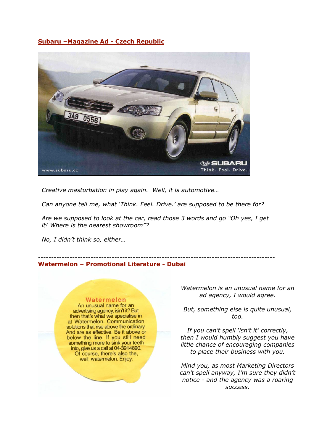## **Subaru –Magazine Ad - Czech Republic**



*Creative masturbation in play again. Well, it is automotive…*

*Can anyone tell me, what 'Think. Feel. Drive.' are supposed to be there for?*

*Are we supposed to look at the car, read those 3 words and go "Oh yes, I get it! Where is the nearest showroom"?*

*No, I didn't think so, either…*

#### ------------------------------------------------------------------------------------------ **Watermelon – Promotional Literature - Dubai**

## Watermelon

An unusual name for an advertising agency, isin't it? But then that's what we specialise in at Watermelon. Communication solutions that rise above the ordinary. And are as effective. Be it above or below the line. If you still need<br>something more to sink your teeth<br>into, give us a call at 04-3914890. Of course, there's also the, well, watermelon. Enjoy.

*Watermelon is an unusual name for an ad agency, I would agree.*

*But, something else is quite unusual, too.*

*If you can't spell 'isn't it' correctly, then I would humbly suggest you have little chance of encouraging companies to place their business with you.*

*Mind you, as most Marketing Directors can't spell anyway, I'm sure they didn't notice - and the agency was a roaring success.*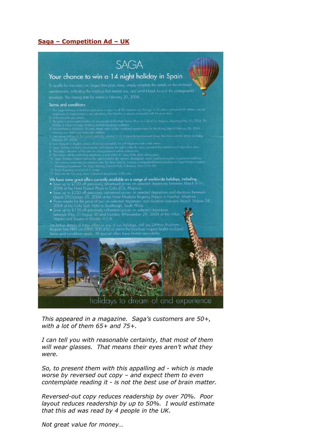## **Saga – Competition Ad – UK**



*This appeared in a magazine. Saga's customers are 50+, with a lot of them 65+ and 75+.*

*I can tell you with reasonable certainty, that most of them will wear glasses. That means their eyes aren't what they were.*

*So, to present them with this appalling ad - which is made worse by reversed out copy – and expect them to even contemplate reading it - is not the best use of brain matter.*

*Reversed-out copy reduces readership by over 70%. Poor layout reduces readership by up to 50%. I would estimate that this ad was read by 4 people in the UK.* 

*Not great value for money…*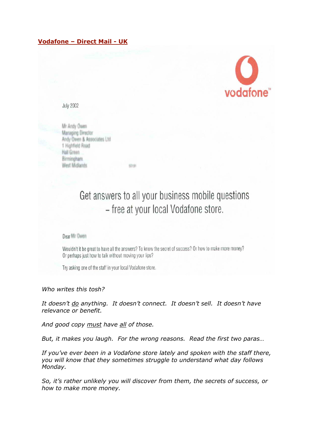# **Vodafone – Direct Mail - UK**



**July 2002** 

Mr Andy Owen **Managing Director** Andy Owen & Associates Ltd. 1 Highfield Road Hall Green Birmingham. West Midlands

> Get answers to all your business mobile questions - free at your local Vodafone store.

#### Dear Mr Dwen

Wouldn't it be great to have all the answers? To know the secret of success? Or how to make more money? Or perhaps just how to talk without moving your lips?

stray

Try asking one of the staff in your local Vodafone store.

*Who writes this tosh?*

*It doesn't do anything. It doesn't connect. It doesn't sell. It doesn't have relevance or benefit.* 

*And good copy must have all of those.*

*But, it makes you laugh. For the wrong reasons. Read the first two paras…*

*If you've ever been in a Vodafone store lately and spoken with the staff there, you will know that they sometimes struggle to understand what day follows Monday.* 

*So, it's rather unlikely you will discover from them, the secrets of success, or how to make more money.*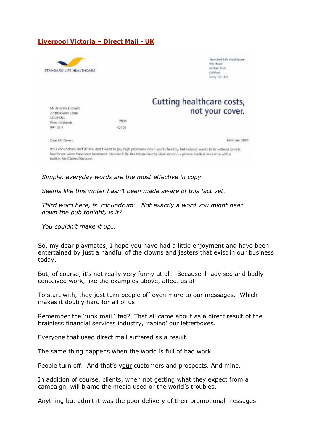## **Liverpool Victoria – Direct Mail - UK**



*Simple, everyday words are the most effective in copy.*

*Seems like this writer hasn't been made aware of this fact yet.*

*Third word here, is 'conundrum'. Not exactly a word you might hear down the pub tonight, is it?*

*You couldn't make it up…*

So, my dear playmates, I hope you have had a little enjoyment and have been entertained by just a handful of the clowns and jesters that exist in our business today.

But, of course, it's not really very funny at all. Because ill-advised and badly conceived work, like the examples above, affect us all.

To start with, they just turn people off even more to our messages. Which makes it doubly hard for all of us.

Remember the 'junk mail ' tag? That all came about as a direct result of the brainless financial services industry, 'raping' our letterboxes.

Everyone that used direct mail suffered as a result.

The same thing happens when the world is full of bad work.

People turn off. And that's your customers and prospects. And mine.

In addition of course, clients, when not getting what they expect from a campaign, will blame the media used or the world's troubles.

Anything but admit it was the poor delivery of their promotional messages.